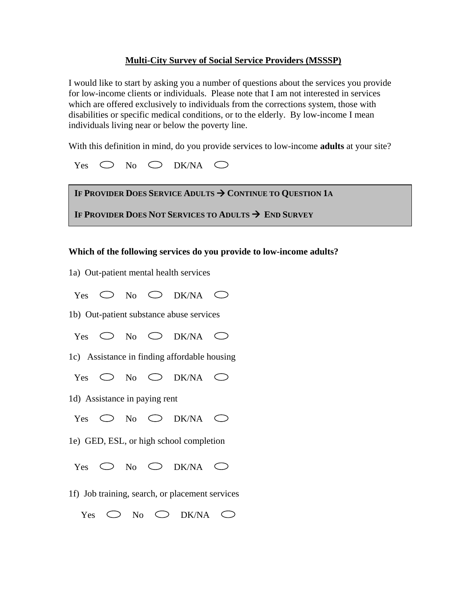# **Multi-City Survey of Social Service Providers (MSSSP)**

I would like to start by asking you a number of questions about the services you provide for low-income clients or individuals. Please note that I am not interested in services which are offered exclusively to individuals from the corrections system, those with disabilities or specific medical conditions, or to the elderly. By low-income I mean individuals living near or below the poverty line.

With this definition in mind, do you provide services to low-income **adults** at your site?

| Yes $\bigcirc$ No $\bigcirc$ DK/NA $\bigcirc$ |  |  |  |  |
|-----------------------------------------------|--|--|--|--|
|-----------------------------------------------|--|--|--|--|

| IF PROVIDER DOES SERVICE ADULTS $\rightarrow$ CONTINUE TO QUESTION 1A |
|-----------------------------------------------------------------------|
| IF PROVIDER DOES NOT SERVICES TO ADULTS $\rightarrow$ END SURVEY      |

**Which of the following services do you provide to low-income adults?** 

1a) Out-patient mental health services

 $Yes \t O No \t OK/NA \t O$ 

1b) Out-patient substance abuse services

 $Yes \t O No \t OK/NA \t O$ 

1c) Assistance in finding affordable housing

Yes  $\bigcirc$  No  $\bigcirc$  DK/NA  $\bigcirc$ 

1d) Assistance in paying rent

 $Yes \t O No \t OK/NA \t O$ 

1e) GED, ESL, or high school completion

 $Yes \t O No \t OK/NA \t O$ 

1f) Job training, search, or placement services

Yes  $\bigcirc$  No  $\bigcirc$  DK/NA  $\bigcirc$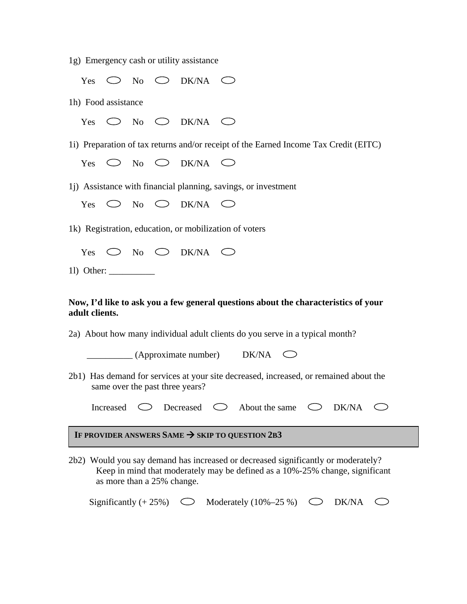1g) Emergency cash or utility assistance

|                                                                                                                          |                                                                                                                                                                                                 |  |  | Yes $\bigcirc$ No $\bigcirc$ DK/NA $\bigcirc$ |                                                                                      |  |  |  |  |
|--------------------------------------------------------------------------------------------------------------------------|-------------------------------------------------------------------------------------------------------------------------------------------------------------------------------------------------|--|--|-----------------------------------------------|--------------------------------------------------------------------------------------|--|--|--|--|
| 1h) Food assistance                                                                                                      |                                                                                                                                                                                                 |  |  |                                               |                                                                                      |  |  |  |  |
|                                                                                                                          |                                                                                                                                                                                                 |  |  | Yes $\bigcirc$ No $\bigcirc$ DK/NA $\bigcirc$ |                                                                                      |  |  |  |  |
|                                                                                                                          |                                                                                                                                                                                                 |  |  |                                               | 1i) Preparation of tax returns and/or receipt of the Earned Income Tax Credit (EITC) |  |  |  |  |
|                                                                                                                          |                                                                                                                                                                                                 |  |  | Yes $\bigcirc$ No $\bigcirc$ DK/NA $\bigcirc$ |                                                                                      |  |  |  |  |
|                                                                                                                          |                                                                                                                                                                                                 |  |  |                                               | 1j) Assistance with financial planning, savings, or investment                       |  |  |  |  |
|                                                                                                                          |                                                                                                                                                                                                 |  |  | Yes $\bigcirc$ No $\bigcirc$ DK/NA $\bigcirc$ |                                                                                      |  |  |  |  |
| 1k) Registration, education, or mobilization of voters                                                                   |                                                                                                                                                                                                 |  |  |                                               |                                                                                      |  |  |  |  |
|                                                                                                                          |                                                                                                                                                                                                 |  |  | Yes $\bigcirc$ No $\bigcirc$ DK/NA $\bigcirc$ |                                                                                      |  |  |  |  |
|                                                                                                                          |                                                                                                                                                                                                 |  |  |                                               |                                                                                      |  |  |  |  |
| Now, I'd like to ask you a few general questions about the characteristics of your<br>adult clients.                     |                                                                                                                                                                                                 |  |  |                                               |                                                                                      |  |  |  |  |
| 2a) About how many individual adult clients do you serve in a typical month?                                             |                                                                                                                                                                                                 |  |  |                                               |                                                                                      |  |  |  |  |
| $\qquad \qquad$ (Approximate number) DK/NA $\qquad \qquad$                                                               |                                                                                                                                                                                                 |  |  |                                               |                                                                                      |  |  |  |  |
| 2b1) Has demand for services at your site decreased, increased, or remained about the<br>same over the past three years? |                                                                                                                                                                                                 |  |  |                                               |                                                                                      |  |  |  |  |
|                                                                                                                          | Increased                                                                                                                                                                                       |  |  |                                               | $\circ$ Decreased $\circ$ About the same $\circ$ DK/NA<br>C)                         |  |  |  |  |
| IF PROVIDER ANSWERS SAME $\rightarrow$ SKIP TO QUESTION 2B3                                                              |                                                                                                                                                                                                 |  |  |                                               |                                                                                      |  |  |  |  |
|                                                                                                                          | 2b2) Would you say demand has increased or decreased significantly or moderately?<br>Keep in mind that moderately may be defined as a 10%-25% change, significant<br>as more than a 25% change. |  |  |                                               |                                                                                      |  |  |  |  |

Significantly  $(+ 25%)$   $\bigcirc$  Moderately  $(10\% - 25\%)$   $\bigcirc$  DK/NA  $\bigcirc$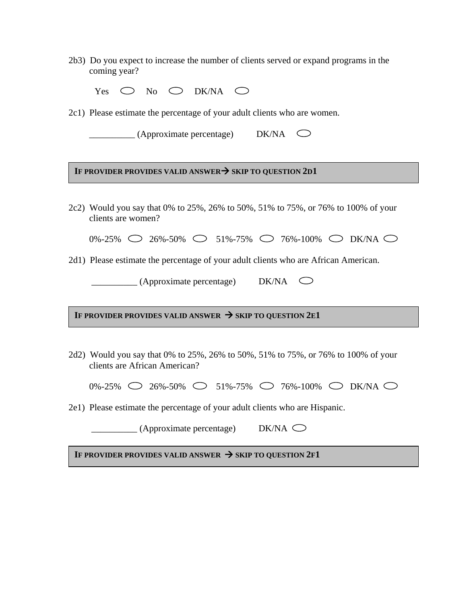2b3) Do you expect to increase the number of clients served or expand programs in the coming year?

| Yes $\bigcirc$ No $\bigcirc$ DK/NA $\bigcirc$ |  |  |  |  |  |  |
|-----------------------------------------------|--|--|--|--|--|--|
|-----------------------------------------------|--|--|--|--|--|--|

2c1) Please estimate the percentage of your adult clients who are women.

| (Approximate percentage) | <b>DK/NA</b> |  |
|--------------------------|--------------|--|
|                          |              |  |

### IF PROVIDER PROVIDES VALID ANSWER $\rightarrow$  SKIP TO QUESTION 2D1

2c2) Would you say that 0% to 25%, 26% to 50%, 51% to 75%, or 76% to 100% of your clients are women?

|  |  |  | $0\% -25\%$ $\bigcirc$ 26%-50% $\bigcirc$ 51%-75% $\bigcirc$ 76%-100% $\bigcirc$ DK/NA $\bigcirc$ |  |  |
|--|--|--|---------------------------------------------------------------------------------------------------|--|--|
|  |  |  |                                                                                                   |  |  |

2d1) Please estimate the percentage of your adult clients who are African American.

 $(Approximate percentage)$  DK/NA  $\bigcirc$ 

IF PROVIDER PROVIDES VALID ANSWER  $\rightarrow$  SKIP TO QUESTION 2E1

2d2) Would you say that 0% to 25%, 26% to 50%, 51% to 75%, or 76% to 100% of your clients are African American?

 $0\% -25\%$   $\bigcirc$  26%-50%  $\bigcirc$  51%-75%  $\bigcirc$  76%-100%  $\bigcirc$  DK/NA  $\bigcirc$ 

2e1) Please estimate the percentage of your adult clients who are Hispanic.

 $\Box$  (Approximate percentage) DK/NA  $\bigcirc$ 

IF PROVIDER PROVIDES VALID ANSWER  $\rightarrow$  SKIP TO QUESTION 2F1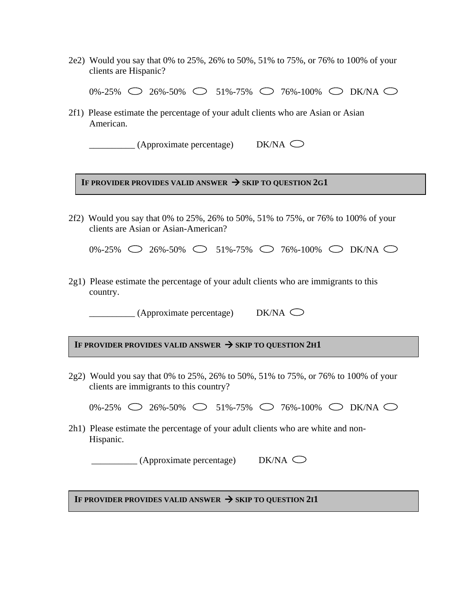2e2) Would you say that 0% to 25%, 26% to 50%, 51% to 75%, or 76% to 100% of your clients are Hispanic?

 $0\% -25\%$   $\bigcirc$  26%-50%  $\bigcirc$  51%-75%  $\bigcirc$  76%-100%  $\bigcirc$  DK/NA  $\bigcirc$ 

2f1) Please estimate the percentage of your adult clients who are Asian or Asian American.

 $\overline{\phantom{a}}$  (Approximate percentage) DK/NA  $\overline{\phantom{a}}$ 

IF PROVIDER PROVIDES VALID ANSWER  $\rightarrow$  SKIP TO QUESTION 2G1

2f2) Would you say that 0% to 25%, 26% to 50%, 51% to 75%, or 76% to 100% of your clients are Asian or Asian-American?

 $0\% -25\%$   $\bigcirc$   $26\% -50\%$   $\bigcirc$   $51\% -75\%$   $\bigcirc$  76%-100%  $\bigcirc$  DK/NA  $\bigcirc$ 

2g1) Please estimate the percentage of your adult clients who are immigrants to this country.

 $\qquad \qquad$  (Approximate percentage)

IF PROVIDER PROVIDES VALID ANSWER  $\rightarrow$  SKIP TO QUESTION 2H1

2g2) Would you say that 0% to 25%, 26% to 50%, 51% to 75%, or 76% to 100% of your clients are immigrants to this country?

|  |  |  | 0%-25% $\bigcirc$ 26%-50% $\bigcirc$ 51%-75% $\bigcirc$ 76%-100% $\bigcirc$ DK/NA $\bigcirc$ |  |  |
|--|--|--|----------------------------------------------------------------------------------------------|--|--|
|  |  |  |                                                                                              |  |  |

2h1) Please estimate the percentage of your adult clients who are white and non-Hispanic.

 $\Box$  (Approximate percentage) DK/NA  $\bigcirc$ 

i If provider provides valid answer  $\rightarrow$  skip to question 2i1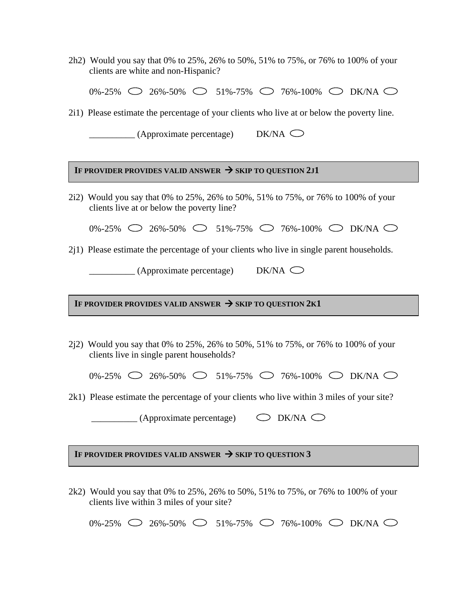2h2) Would you say that 0% to 25%, 26% to 50%, 51% to 75%, or 76% to 100% of your clients are white and non-Hispanic?

0%-25%  $\bigcirc$  26%-50%  $\bigcirc$  51%-75%  $\bigcirc$  76%-100%  $\bigcirc$  DK/NA  $\bigcirc$ 

2i1) Please estimate the percentage of your clients who live at or below the poverty line.

 $\Box$  (Approximate percentage) DK/NA  $\bigcirc$ 

## IF PROVIDER PROVIDES VALID ANSWER  $\rightarrow$  SKIP TO QUESTION 2J1

2i2) Would you say that 0% to 25%, 26% to 50%, 51% to 75%, or 76% to 100% of your clients live at or below the poverty line?

 $0\% -25\%$   $\bigcirc$   $26\% -50\%$   $\bigcirc$   $51\% -75\%$   $\bigcirc$  76%-100%  $\bigcirc$  DK/NA  $\bigcirc$ 

2j1) Please estimate the percentage of your clients who live in single parent households.

 $\Box$  (Approximate percentage) DK/NA  $\bigcirc$ 

IF PROVIDER PROVIDES VALID ANSWER  $\rightarrow$  SKIP TO QUESTION 2K1

2j2) Would you say that 0% to 25%, 26% to 50%, 51% to 75%, or 76% to 100% of your clients live in single parent households?

 $0\% -25\%$   $\bigcirc$  26%-50%  $\bigcirc$  51%-75%  $\bigcirc$  76%-100%  $\bigcirc$  DK/NA  $\bigcirc$ 

2k1) Please estimate the percentage of your clients who live within 3 miles of your site?

 $\Box$  (Approximate percentage)  $\Box$  DK/NA  $\Box$ 

IF PROVIDER PROVIDES VALID ANSWER  $\rightarrow$  SKIP TO QUESTION 3

2k2) Would you say that 0% to 25%, 26% to 50%, 51% to 75%, or 76% to 100% of your clients live within 3 miles of your site?

|  |  |  |  |  |  |  | 0%-25% $\bigcirc$ 26%-50% $\bigcirc$ 51%-75% $\bigcirc$ 76%-100% $\bigcirc$ DK/NA $\bigcirc$ |  |  |  |
|--|--|--|--|--|--|--|----------------------------------------------------------------------------------------------|--|--|--|
|--|--|--|--|--|--|--|----------------------------------------------------------------------------------------------|--|--|--|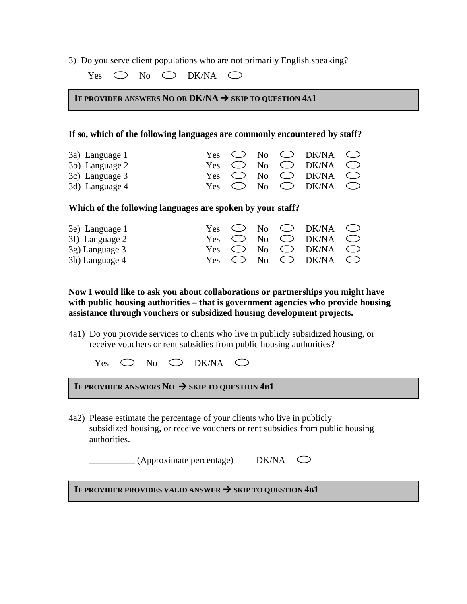3) Do you serve client populations who are not primarily English speaking?

Yes No DK/NA  $\bigcirc$ 

IF PROVIDER ANSWERS NO OR DK/NA  $\rightarrow$  skip to question 4a1

## **If so, which of the following languages are commonly encountered by staff?**

| 3a) Language 1<br>3b) Language 2 |  |  | Yes $\bigcirc$ No $\bigcirc$ DK/NA $\bigcirc$<br>Yes $\bigcirc$ No $\bigcirc$ DK/NA $\bigcirc$ |  |
|----------------------------------|--|--|------------------------------------------------------------------------------------------------|--|
| 3c) Language 3<br>3d) Language 4 |  |  | Yes $\bigcirc$ No $\bigcirc$ DK/NA $\bigcirc$<br>Yes $\bigcirc$ No $\bigcirc$ DK/NA $\bigcirc$ |  |

**Which of the following languages are spoken by your staff?** 

| 3e) Language 1 |  |  | Yes $\bigcirc$ No $\bigcirc$ DK/NA $\bigcirc$ |  |
|----------------|--|--|-----------------------------------------------|--|
| 3f) Language 2 |  |  | Yes $\bigcirc$ No $\bigcirc$ DK/NA $\bigcirc$ |  |
| 3g) Language 3 |  |  | Yes $\bigcirc$ No $\bigcirc$ DK/NA $\bigcirc$ |  |
| 3h) Language 4 |  |  | Yes $\bigcirc$ No $\bigcirc$ DK/NA $\bigcirc$ |  |

**Now I would like to ask you about collaborations or partnerships you might have with public housing authorities – that is government agencies who provide housing assistance through vouchers or subsidized housing development projects.** 

4a1) Do you provide services to clients who live in publicly subsidized housing, or receive vouchers or rent subsidies from public housing authorities?

Yes  $\bigcirc$  No  $\bigcirc$  DK/NA  $\bigcirc$ 

IF PROVIDER ANSWERS NO  $\rightarrow$  SKIP TO QUESTION 4B1

4a2) Please estimate the percentage of your clients who live in publicly subsidized housing, or receive vouchers or rent subsidies from public housing authorities.

 $\Box$  (Approximate percentage) DK/NA  $\Box$ 

IF PROVIDER PROVIDES VALID ANSWER  $\rightarrow$  SKIP TO QUESTION 4B1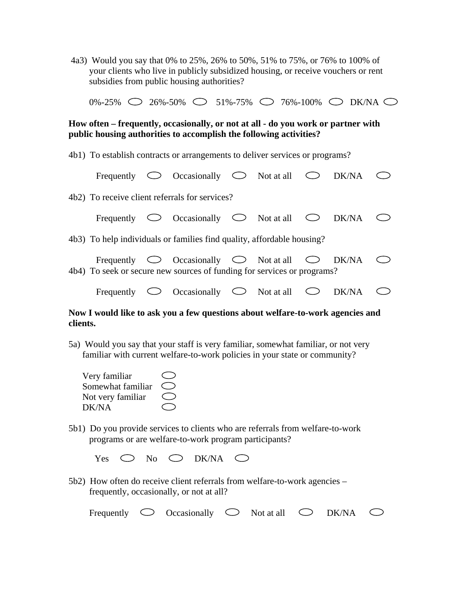4a3) Would you say that 0% to 25%, 26% to 50%, 51% to 75%, or 76% to 100% of your clients who live in publicly subsidized housing, or receive vouchers or rent subsidies from public housing authorities?

 $0\% - 25\%$   $\bigcirc$  26%-50%  $\bigcirc$  51%-75%  $\bigcirc$  76%-100%  $\bigcirc$  DK/NA  $\bigcirc$ 

**How often – frequently, occasionally, or not at all - do you work or partner with public housing authorities to accomplish the following activities?** 

4b1) To establish contracts or arrangements to deliver services or programs?

|            | Frequently $\bigcirc$ Occasionally $\bigcirc$ Not at all $\bigcirc$ DK/NA                                                                                                       |  |       |  |
|------------|---------------------------------------------------------------------------------------------------------------------------------------------------------------------------------|--|-------|--|
|            | 4b2) To receive client referrals for services?                                                                                                                                  |  |       |  |
|            | Frequently $\bigcirc$ Occasionally $\bigcirc$ Not at all $\bigcirc$                                                                                                             |  | DK/NA |  |
|            | 4b3) To help individuals or families find quality, affordable housing?                                                                                                          |  |       |  |
|            | Frequently $\circlearrowright$ Occasionally $\circlearrowright$ Not at all $\circlearrowright$ DK/NA<br>4b4) To seek or secure new sources of funding for services or programs? |  |       |  |
| Frequently | $\bigcirc$ Occasionally $\bigcirc$ Not at all                                                                                                                                   |  | DK/NA |  |

**Now I would like to ask you a few questions about welfare-to-work agencies and clients.** 

5a) Would you say that your staff is very familiar, somewhat familiar, or not very familiar with current welfare-to-work policies in your state or community?

| Very familiar     |  |
|-------------------|--|
| Somewhat familiar |  |
| Not very familiar |  |
| DK/NA             |  |

5b1) Do you provide services to clients who are referrals from welfare-to-work programs or are welfare-to-work program participants?

|  |  | Yes $\bigcirc$ No $\bigcirc$ DK/NA $\bigcirc$ |  |
|--|--|-----------------------------------------------|--|
|  |  |                                               |  |

5b2) How often do receive client referrals from welfare-to-work agencies – frequently, occasionally, or not at all?

| Frequently $\circ$ Occasionally $\circ$ Not at all $\circ$ DK/NA |  |  |  | $\bigcirc$ |
|------------------------------------------------------------------|--|--|--|------------|
|------------------------------------------------------------------|--|--|--|------------|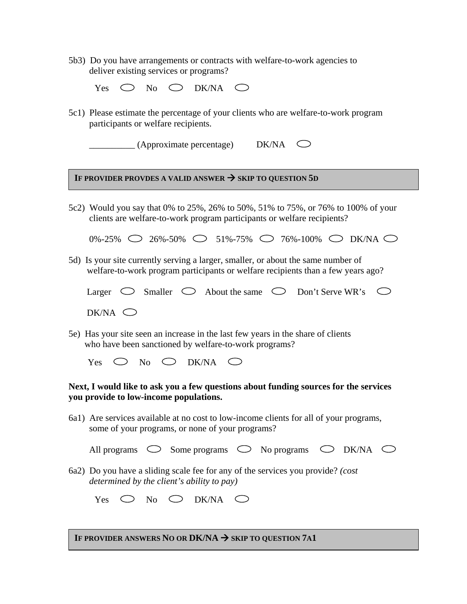5b3) Do you have arrangements or contracts with welfare-to-work agencies to deliver existing services or programs?

|  |  | Yes $\bigcirc$ No $\bigcirc$ DK/NA $\bigcirc$ |  |
|--|--|-----------------------------------------------|--|
|  |  |                                               |  |

5c1) Please estimate the percentage of your clients who are welfare-to-work program participants or welfare recipients.

 $\Box$  (Approximate percentage) DK/NA  $\bigcirc$ 

### IF PROVIDER PROVDES A VALID ANSWER  $\rightarrow$  SKIP TO QUESTION 5D

5c2) Would you say that 0% to 25%, 26% to 50%, 51% to 75%, or 76% to 100% of your clients are welfare-to-work program participants or welfare recipients?

 $0\% -25\%$   $\bigcirc$   $26\% -50\%$   $\bigcirc$   $51\% -75\%$   $\bigcirc$  76%-100%  $\bigcirc$  DK/NA  $\bigcirc$ 

5d) Is your site currently serving a larger, smaller, or about the same number of welfare-to-work program participants or welfare recipients than a few years ago?

|  | Larger |  | $\bigcirc$ Smaller | $\sim$ | About the same |  | Don't Serve WR's |  |  |
|--|--------|--|--------------------|--------|----------------|--|------------------|--|--|
|--|--------|--|--------------------|--------|----------------|--|------------------|--|--|

- $DK/NA$
- 5e) Has your site seen an increase in the last few years in the share of clients who have been sanctioned by welfare-to-work programs?

Yes  $\bigcirc$  No  $\bigcirc$  DK/NA  $\bigcirc$ 

## **Next, I would like to ask you a few questions about funding sources for the services you provide to low-income populations.**

6a1) Are services available at no cost to low-income clients for all of your programs, some of your programs, or none of your programs?

| All programs | Some programs | No programs | DK/NA |  |
|--------------|---------------|-------------|-------|--|
|              |               |             |       |  |

6a2) Do you have a sliding scale fee for any of the services you provide? *(cost determined by the client's ability to pay)* 

|  |  | Yes $\bigcirc$ No $\bigcirc$ DK/NA $\bigcirc$ |  |
|--|--|-----------------------------------------------|--|
|  |  |                                               |  |

IF PROVIDER ANSWERS NO OR DK/NA  $\rightarrow$  skip to question 7a1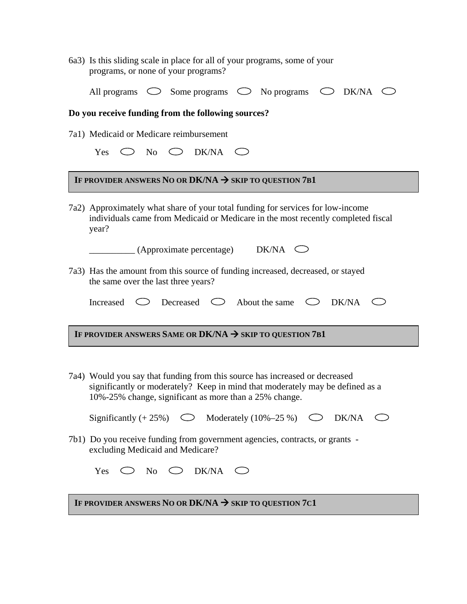6a3) Is this sliding scale in place for all of your programs, some of your programs, or none of your programs?

| All programs $\circ$ Some programs $\circ$ No programs $\circ$ DK/NA $\circ$ |  |  |  |  |  |  |  |
|------------------------------------------------------------------------------|--|--|--|--|--|--|--|
|------------------------------------------------------------------------------|--|--|--|--|--|--|--|

#### **Do you receive funding from the following sources?**

7a1) Medicaid or Medicare reimbursement

|  |  | Yes $\bigcirc$ No $\bigcirc$ DK/NA $\bigcirc$ |  |
|--|--|-----------------------------------------------|--|
|  |  |                                               |  |

## IF PROVIDER ANSWERS NO OR  $DK/NA \rightarrow$  SKIP TO QUESTION 7B1

7a2) Approximately what share of your total funding for services for low-income individuals came from Medicaid or Medicare in the most recently completed fiscal year?

 $\Box$  (Approximate percentage) DK/NA  $\bigcirc$ 

7a3) Has the amount from this source of funding increased, decreased, or stayed the same over the last three years?

|  |  |  |  | Increased $\bigcirc$ Decreased $\bigcirc$ About the same $\bigcirc$ DK/NA |  |  |  |
|--|--|--|--|---------------------------------------------------------------------------|--|--|--|
|--|--|--|--|---------------------------------------------------------------------------|--|--|--|

IF PROVIDER ANSWERS SAME OR DK/NA  $\rightarrow$  skip to question 7b1

7a4) Would you say that funding from this source has increased or decreased significantly or moderately? Keep in mind that moderately may be defined as a 10%-25% change, significant as more than a 25% change.

|  |  | Significantly $(+ 25\%)$ $\bigcirc$ Moderately $(10\% - 25\%)$ $\bigcirc$ DK/NA $\bigcirc$ |  |  |  |
|--|--|--------------------------------------------------------------------------------------------|--|--|--|
|--|--|--------------------------------------------------------------------------------------------|--|--|--|

7b1) Do you receive funding from government agencies, contracts, or grants excluding Medicaid and Medicare?

|  |  | Yes $\bigcirc$ No $\bigcirc$ DK/NA $\bigcirc$ |  |
|--|--|-----------------------------------------------|--|
|  |  |                                               |  |

 $\overline{a}$ 

IF PROVIDER ANSWERS NO OR DK/NA  $\rightarrow$  skip to question 7c1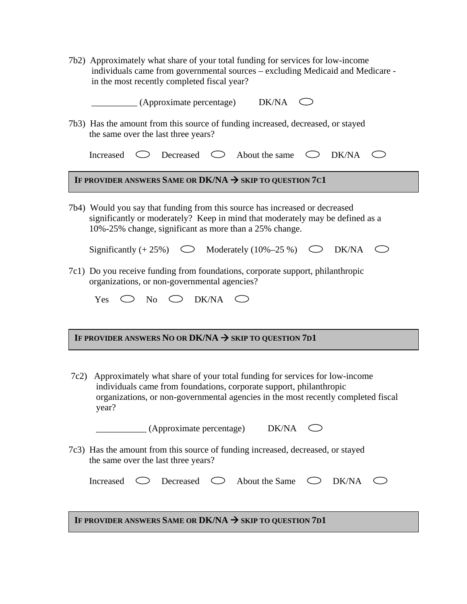| 7b2) Approximately what share of your total funding for services for low-income |
|---------------------------------------------------------------------------------|
| individuals came from governmental sources – excluding Medicaid and Medicare -  |
| in the most recently completed fiscal year?                                     |

 $(Approximate percentage)$  DK/NA  $\bigcirc$ 

7b3) Has the amount from this source of funding increased, decreased, or stayed the same over the last three years?

| Increased $\bigcirc$ Decreased $\bigcirc$ About the same $\bigcirc$ DK/NA $\bigcirc$ |  |  |  |  |
|--------------------------------------------------------------------------------------|--|--|--|--|
|--------------------------------------------------------------------------------------|--|--|--|--|

# IF PROVIDER ANSWERS SAME OR DK/NA  $\rightarrow$  skip to question 7c1

7b4) Would you say that funding from this source has increased or decreased significantly or moderately? Keep in mind that moderately may be defined as a 10%-25% change, significant as more than a 25% change.

|  |  | Significantly $(+ 25\%)$<br>$\bigcirc$ Moderately $(10\% - 25\%)$ $\bigcirc$ DK/NA $\bigcirc$ |  |  |  |
|--|--|-----------------------------------------------------------------------------------------------|--|--|--|
|--|--|-----------------------------------------------------------------------------------------------|--|--|--|

7c1) Do you receive funding from foundations, corporate support, philanthropic organizations, or non-governmental agencies?

|  |  |  |  | Yes $\bigcirc$ No $\bigcirc$ DK/NA $\bigcirc$ |  |
|--|--|--|--|-----------------------------------------------|--|
|--|--|--|--|-----------------------------------------------|--|

# IF PROVIDER ANSWERS NO OR DK/NA  $\rightarrow$  skip to question 7d1

7c2) Approximately what share of your total funding for services for low-income individuals came from foundations, corporate support, philanthropic organizations, or non-governmental agencies in the most recently completed fiscal year?

| (Approximate percentage)                                                        | DK/NA |  |
|---------------------------------------------------------------------------------|-------|--|
| 7c3) Has the amount from this source of funding increased, decreased, or stayed |       |  |

the same over the last three years?

|  | Decreased $\bigcirc$ About the Same $\bigcirc$ DK/NA $\bigcirc$ |  |  |
|--|-----------------------------------------------------------------|--|--|
|  |                                                                 |  |  |

# IF PROVIDER ANSWERS SAME OR  $DK/NA \rightarrow$  SKIP TO QUESTION 7D1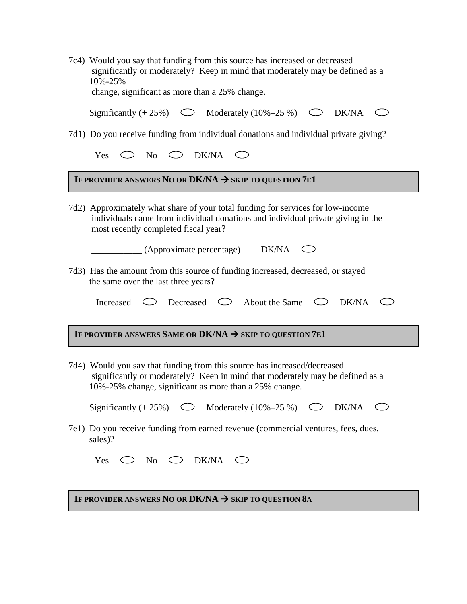| 7c4) Would you say that funding from this source has increased or decreased<br>significantly or moderately? Keep in mind that moderately may be defined as a<br>10%-25%<br>change, significant as more than a 25% change. |
|---------------------------------------------------------------------------------------------------------------------------------------------------------------------------------------------------------------------------|
| Significantly $(+ 25\%)$<br>$\bigcirc$ Moderately $(10\%-25\%)$ $\bigcirc$ DK/NA<br>$\subset$ $\supset$                                                                                                                   |
| 7d1) Do you receive funding from individual donations and individual private giving?                                                                                                                                      |
| Yes $\bigcirc$ No $\bigcirc$ DK/NA $\bigcirc$                                                                                                                                                                             |
| IF PROVIDER ANSWERS NO OR DK/NA $\rightarrow$ skip to question 7e1                                                                                                                                                        |
| 7d2) Approximately what share of your total funding for services for low-income<br>individuals came from individual donations and individual private giving in the<br>most recently completed fiscal year?                |
| DK/NA<br>(Approximate percentage)                                                                                                                                                                                         |
| 7d3) Has the amount from this source of funding increased, decreased, or stayed<br>the same over the last three years?                                                                                                    |
| $\circ$ Decreased $\circ$ About the Same $\circ$ DK/NA<br>Increased                                                                                                                                                       |
| IF PROVIDER ANSWERS SAME OR DK/NA $\rightarrow$ SKIP TO QUESTION 7E1                                                                                                                                                      |
| 7d4) Would you say that funding from this source has increased/decreased<br>significantly or moderately? Keep in mind that moderately may be defined as a<br>10%-25% change, significant as more than a 25% change.       |
| Significantly $(+ 25\%)$ $\bigcirc$ Moderately $(10\% - 25\%)$ $\bigcirc$ DK/NA                                                                                                                                           |
| 7e1) Do you receive funding from earned revenue (commercial ventures, fees, dues,<br>sales)?                                                                                                                              |
| $\supset$ No $\bigcirc$ DK/NA $\bigcirc$<br>Yes                                                                                                                                                                           |
|                                                                                                                                                                                                                           |
| IF PROVIDER ANSWERS NO OR DK/NA $\rightarrow$ skip to question 8a                                                                                                                                                         |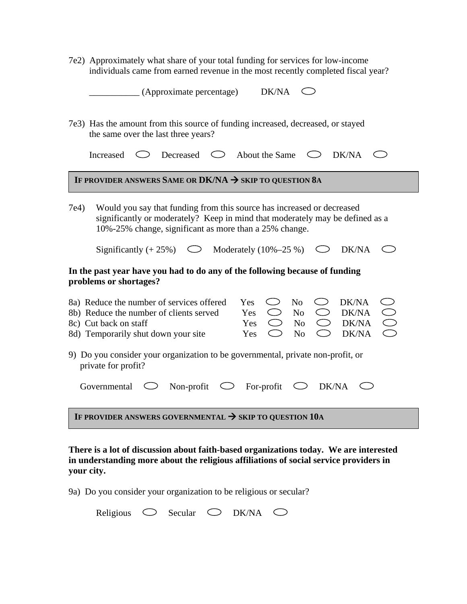7e2) Approximately what share of your total funding for services for low-income individuals came from earned revenue in the most recently completed fiscal year?

|                                                                                                        | DK/NA<br>(Approximate percentage)                                                                                                                                                                                                                                                                                                  |  |  |  |  |  |  |  |
|--------------------------------------------------------------------------------------------------------|------------------------------------------------------------------------------------------------------------------------------------------------------------------------------------------------------------------------------------------------------------------------------------------------------------------------------------|--|--|--|--|--|--|--|
|                                                                                                        | 7e3) Has the amount from this source of funding increased, decreased, or stayed<br>the same over the last three years?                                                                                                                                                                                                             |  |  |  |  |  |  |  |
|                                                                                                        | DK/NA<br>Decreased<br>About the Same<br>Increased<br>$\zeta$<br>C)                                                                                                                                                                                                                                                                 |  |  |  |  |  |  |  |
|                                                                                                        | IF PROVIDER ANSWERS SAME OR DK/NA $\rightarrow$ skip to question 8a                                                                                                                                                                                                                                                                |  |  |  |  |  |  |  |
| 7e4)                                                                                                   | Would you say that funding from this source has increased or decreased<br>significantly or moderately? Keep in mind that moderately may be defined as a<br>10%-25% change, significant as more than a 25% change.                                                                                                                  |  |  |  |  |  |  |  |
|                                                                                                        | Significantly $(+ 25\%)$ $\qquad \qquad \bigcirc$<br>Moderately $(10\% - 25\%)$<br>DK/NA                                                                                                                                                                                                                                           |  |  |  |  |  |  |  |
|                                                                                                        | In the past year have you had to do any of the following because of funding<br>problems or shortages?                                                                                                                                                                                                                              |  |  |  |  |  |  |  |
|                                                                                                        | DK/NA<br>8a) Reduce the number of services offered<br>Yes<br>N <sub>o</sub><br>DK/NA<br>8b) Reduce the number of clients served<br>N <sub>o</sub><br>Yes<br>$\bigcirc$<br>DK/NA<br>8c) Cut back on staff<br>N <sub>o</sub><br>Yes<br>$\bigcirc$<br>8d) Temporarily shut down your site<br>N <sub>o</sub><br>◯<br>DK/NA<br>Yes<br>Ο |  |  |  |  |  |  |  |
| 9) Do you consider your organization to be governmental, private non-profit, or<br>private for profit? |                                                                                                                                                                                                                                                                                                                                    |  |  |  |  |  |  |  |
|                                                                                                        | $\bigcirc$ Non-profit<br>$\circlearrowright$ For-profit<br>DK/NA<br>Governmental<br>$\bigcirc$                                                                                                                                                                                                                                     |  |  |  |  |  |  |  |
|                                                                                                        | IF PROVIDER ANSWERS GOVERNMENTAL $\rightarrow$ SKIP TO QUESTION 10A                                                                                                                                                                                                                                                                |  |  |  |  |  |  |  |

**There is a lot of discussion about faith-based organizations today. We are interested in understanding more about the religious affiliations of social service providers in your city.** 

9a) Do you consider your organization to be religious or secular?

| Religious | Secular | DK/NA |  |
|-----------|---------|-------|--|
|           |         |       |  |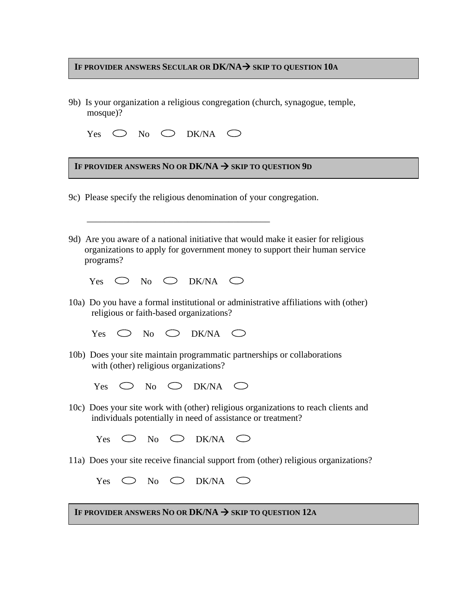### **IF PROVIDER ANSWERS SECULAR OR DK/NA**  $\rightarrow$  **skip to question 10a**

9b) Is your organization a religious congregation (church, synagogue, temple, mosque)?

|  |  |  |  | Yes $\bigcirc$ No $\bigcirc$ DK/NA $\bigcirc$ |  |
|--|--|--|--|-----------------------------------------------|--|
|--|--|--|--|-----------------------------------------------|--|

# IF PROVIDER ANSWERS NO OR  $DK/NA \rightarrow$  skip to question 9d

9c) Please specify the religious denomination of your congregation.

9d) Are you aware of a national initiative that would make it easier for religious organizations to apply for government money to support their human service programs?

| Yes |  | $\lambda$ s $\bigcirc$ No $\bigcirc$ DK/NA $\bigcirc$ |  |
|-----|--|-------------------------------------------------------|--|
|     |  |                                                       |  |

 $\overline{\phantom{a}}$  , and the contract of the contract of the contract of the contract of the contract of the contract of the contract of the contract of the contract of the contract of the contract of the contract of the contrac

10a) Do you have a formal institutional or administrative affiliations with (other) religious or faith-based organizations?

Yes  $\bigcirc$  No  $\bigcirc$  DK/NA  $\bigcirc$ 

- 10b) Does your site maintain programmatic partnerships or collaborations with (other) religious organizations?
	- Yes  $\bigcirc$  No  $\bigcirc$  DK/NA  $\bigcirc$
- 10c) Does your site work with (other) religious organizations to reach clients and individuals potentially in need of assistance or treatment?
	- Yes  $\bigcirc$  No  $\bigcirc$  DK/NA  $\bigcirc$
- 11a) Does your site receive financial support from (other) religious organizations?

|  |  | Yes $\bigcirc$ No $\bigcirc$ DK/NA $\bigcirc$ |  |
|--|--|-----------------------------------------------|--|
|  |  |                                               |  |

IF PROVIDER ANSWERS NO OR DK/NA  $\rightarrow$  skip to question 12A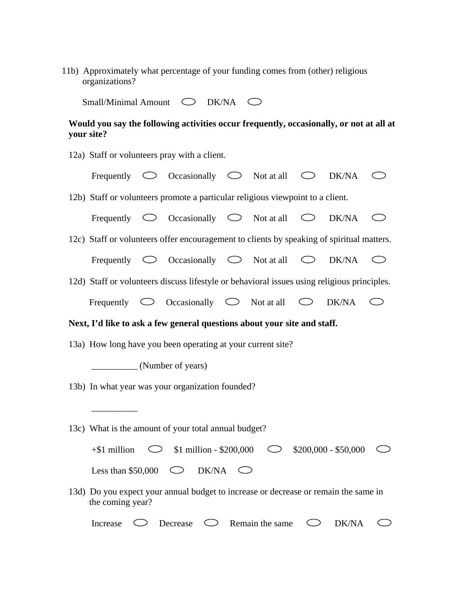|                | 11b) Approximately what percentage of your funding comes from (other) religious |  |  |  |
|----------------|---------------------------------------------------------------------------------|--|--|--|
| organizations? |                                                                                 |  |  |  |

Small/Minimal Amount  $\bigcirc$  DK/NA  $\bigcirc$ 

# **Would you say the following activities occur frequently, occasionally, or not at all at your site?**

|                                                                                |  | 12a) Staff or volunteers pray with a client.                                                   |            |                            |            |       |    |  |
|--------------------------------------------------------------------------------|--|------------------------------------------------------------------------------------------------|------------|----------------------------|------------|-------|----|--|
|                                                                                |  | Frequently $\circlearrowright$ Occasionally $\circlearrowright$ Not at all $\circlearrowright$ |            |                            |            | DK/NA |    |  |
| 12b) Staff or volunteers promote a particular religious viewpoint to a client. |  |                                                                                                |            |                            |            |       |    |  |
|                                                                                |  | Frequently $\circlearrowright$ Occasionally $\circlearrowright$ Not at all                     |            |                            | $\bigcirc$ | DK/NA | くつ |  |
|                                                                                |  | 12c) Staff or volunteers offer encouragement to clients by speaking of spiritual matters.      |            |                            |            |       |    |  |
|                                                                                |  | Frequently $\circlearrowright$ Occasionally $\circlearrowright$ Not at all $\circlearrowright$ |            |                            |            | DK/NA | C) |  |
|                                                                                |  | 12d) Staff or volunteers discuss lifestyle or behavioral issues using religious principles.    |            |                            |            |       |    |  |
|                                                                                |  | Frequently $\circlearrowright$ Occasionally $\circlearrowright$ Not at all                     |            |                            | $\bigcirc$ | DK/NA |    |  |
| Next, I'd like to ask a few general questions about your site and staff.       |  |                                                                                                |            |                            |            |       |    |  |
|                                                                                |  | 13a) How long have you been operating at your current site?                                    |            |                            |            |       |    |  |
| (Number of years)                                                              |  |                                                                                                |            |                            |            |       |    |  |
|                                                                                |  | 13b) In what year was your organization founded?                                               |            |                            |            |       |    |  |
|                                                                                |  |                                                                                                |            |                            |            |       |    |  |
|                                                                                |  | 13c) What is the amount of your total annual budget?                                           |            |                            |            |       |    |  |
| $+$ \$1 million                                                                |  | $\circ$ \$1 million - \$200,000 $\circ$ \$200,000 - \$50,000                                   |            |                            |            |       |    |  |
| Less than $$50,000$                                                            |  | $\bigcirc$ DK/NA                                                                               | $\left($ ) |                            |            |       |    |  |
| the coming year?                                                               |  | 13d) Do you expect your annual budget to increase or decrease or remain the same in            |            |                            |            |       |    |  |
| Increase                                                                       |  | $\bigcirc$ Decrease                                                                            |            | $\bigcirc$ Remain the same | くつ         | DK/NA |    |  |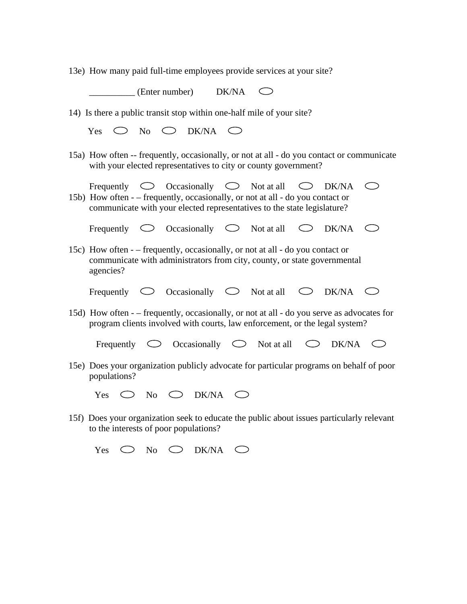13e) How many paid full-time employees provide services at your site?

 \_\_\_\_\_\_\_\_\_\_ (Enter number) DK/NA  $\bigcirc$ 

14) Is there a public transit stop within one-half mile of your site?

|  |  | Yes $\bigcirc$ No $\bigcirc$ DK/NA $\bigcirc$ |  |
|--|--|-----------------------------------------------|--|
|  |  |                                               |  |

15a) How often -- frequently, occasionally, or not at all - do you contact or communicate with your elected representatives to city or county government?

Frequently  $\bigcirc$  Occasionally  $\bigcirc$  Not at all  $\bigcirc$  DK/NA  $\bigcirc$ 

15b) How often - – frequently, occasionally, or not at all - do you contact or communicate with your elected representatives to the state legislature?

Frequently  $\bigcirc$  Occasionally  $\bigcirc$  Not at all  $\bigcirc$  DK/NA  $\bigcirc$ 

15c) How often - – frequently, occasionally, or not at all - do you contact or communicate with administrators from city, county, or state governmental agencies?

|            |                     | Not at all | DK/NA |  |
|------------|---------------------|------------|-------|--|
| Frequently | <b>Occasionally</b> |            |       |  |

15d) How often - – frequently, occasionally, or not at all - do you serve as advocates for program clients involved with courts, law enforcement, or the legal system?

Frequently  $\bigcirc$  Occasionally  $\bigcirc$  Not at all  $\bigcirc$  DK/NA  $\bigcirc$ 

- 15e) Does your organization publicly advocate for particular programs on behalf of poor populations?
	- Yes  $\bigcirc$  No  $\bigcirc$  DK/NA  $\bigcirc$
- 15f) Does your organization seek to educate the public about issues particularly relevant to the interests of poor populations?

Yes  $\bigcirc$  No  $\bigcirc$  DK/NA  $\bigcirc$